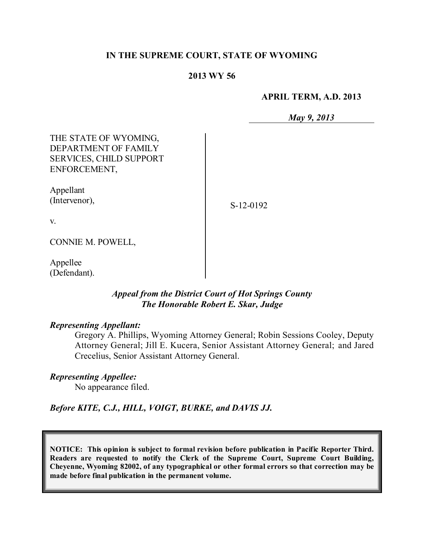### **IN THE SUPREME COURT, STATE OF WYOMING**

#### **2013 WY 56**

#### **APRIL TERM, A.D. 2013**

*May 9, 2013*

THE STATE OF WYOMING, DEPARTMENT OF FAMILY SERVICES, CHILD SUPPORT ENFORCEMENT,

Appellant (Intervenor),

S-12-0192

v.

CONNIE M. POWELL,

Appellee (Defendant).

# *Appeal from the District Court of Hot Springs County The Honorable Robert E. Skar, Judge*

#### *Representing Appellant:*

Gregory A. Phillips, Wyoming Attorney General; Robin Sessions Cooley, Deputy Attorney General; Jill E. Kucera, Senior Assistant Attorney General; and Jared Crecelius, Senior Assistant Attorney General.

#### *Representing Appellee:*

No appearance filed.

*Before KITE, C.J., HILL, VOIGT, BURKE, and DAVIS JJ.*

**NOTICE: This opinion is subject to formal revision before publication in Pacific Reporter Third. Readers are requested to notify the Clerk of the Supreme Court, Supreme Court Building, Cheyenne, Wyoming 82002, of any typographical or other formal errors so that correction may be made before final publication in the permanent volume.**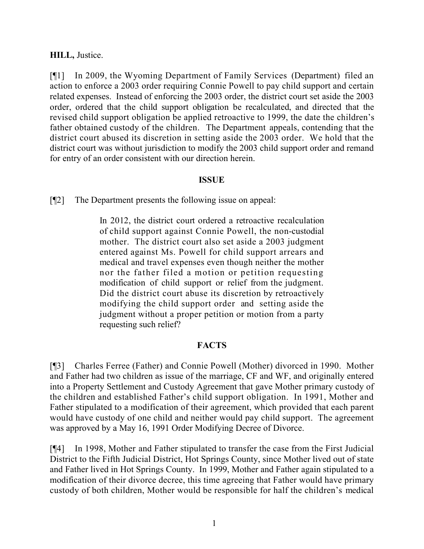### **HILL,** Justice.

[¶1] In 2009, the Wyoming Department of Family Services (Department) filed an action to enforce a 2003 order requiring Connie Powell to pay child support and certain related expenses. Instead of enforcing the 2003 order, the district court set aside the 2003 order, ordered that the child support obligation be recalculated, and directed that the revised child support obligation be applied retroactive to 1999, the date the children's father obtained custody of the children. The Department appeals, contending that the district court abused its discretion in setting aside the 2003 order. We hold that the district court was without jurisdiction to modify the 2003 child support order and remand for entry of an order consistent with our direction herein.

### **ISSUE**

[¶2] The Department presents the following issue on appeal:

In 2012, the district court ordered a retroactive recalculation of child support against Connie Powell, the non-custodial mother. The district court also set aside a 2003 judgment entered against Ms. Powell for child support arrears and medical and travel expenses even though neither the mother nor the father filed a motion or petition requesting modification of child support or relief from the judgment. Did the district court abuse its discretion by retroactively modifying the child support order and setting aside the judgment without a proper petition or motion from a party requesting such relief?

## **FACTS**

[¶3] Charles Ferree (Father) and Connie Powell (Mother) divorced in 1990. Mother and Father had two children as issue of the marriage, CF and WF, and originally entered into a Property Settlement and Custody Agreement that gave Mother primary custody of the children and established Father's child support obligation. In 1991, Mother and Father stipulated to a modification of their agreement, which provided that each parent would have custody of one child and neither would pay child support. The agreement was approved by a May 16, 1991 Order Modifying Decree of Divorce.

[¶4] In 1998, Mother and Father stipulated to transfer the case from the First Judicial District to the Fifth Judicial District, Hot Springs County, since Mother lived out of state and Father lived in Hot Springs County. In 1999, Mother and Father again stipulated to a modification of their divorce decree, this time agreeing that Father would have primary custody of both children, Mother would be responsible for half the children's medical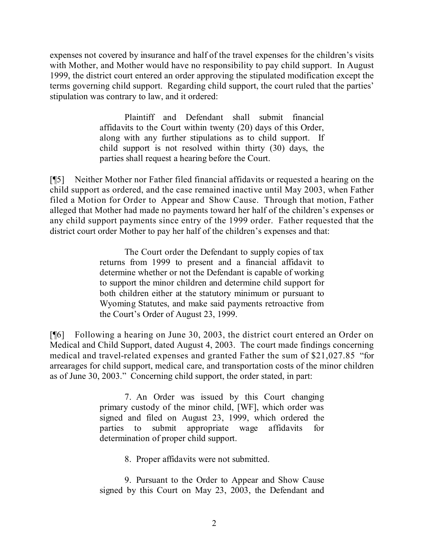expenses not covered by insurance and half of the travel expenses for the children's visits with Mother, and Mother would have no responsibility to pay child support. In August 1999, the district court entered an order approving the stipulated modification except the terms governing child support. Regarding child support, the court ruled that the parties' stipulation was contrary to law, and it ordered:

> Plaintiff and Defendant shall submit financial affidavits to the Court within twenty (20) days of this Order, along with any further stipulations as to child support. If child support is not resolved within thirty (30) days, the parties shall request a hearing before the Court.

[¶5] Neither Mother nor Father filed financial affidavits or requested a hearing on the child support as ordered, and the case remained inactive until May 2003, when Father filed a Motion for Order to Appear and Show Cause. Through that motion, Father alleged that Mother had made no payments toward her half of the children's expenses or any child support payments since entry of the 1999 order. Father requested that the district court order Mother to pay her half of the children's expenses and that:

> The Court order the Defendant to supply copies of tax returns from 1999 to present and a financial affidavit to determine whether or not the Defendant is capable of working to support the minor children and determine child support for both children either at the statutory minimum or pursuant to Wyoming Statutes, and make said payments retroactive from the Court's Order of August 23, 1999.

[¶6] Following a hearing on June 30, 2003, the district court entered an Order on Medical and Child Support, dated August 4, 2003. The court made findings concerning medical and travel-related expenses and granted Father the sum of \$21,027.85 "for arrearages for child support, medical care, and transportation costs of the minor children as of June 30, 2003." Concerning child support, the order stated, in part:

> 7. An Order was issued by this Court changing primary custody of the minor child, [WF], which order was signed and filed on August 23, 1999, which ordered the parties to submit appropriate wage affidavits for determination of proper child support.

> > 8. Proper affidavits were not submitted.

9. Pursuant to the Order to Appear and Show Cause signed by this Court on May 23, 2003, the Defendant and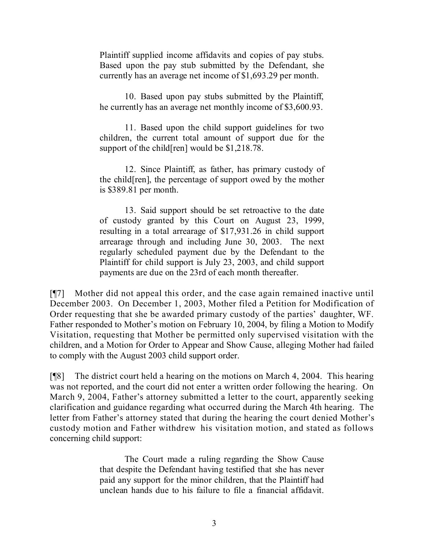Plaintiff supplied income affidavits and copies of pay stubs. Based upon the pay stub submitted by the Defendant, she currently has an average net income of \$1,693.29 per month.

10. Based upon pay stubs submitted by the Plaintiff, he currently has an average net monthly income of \$3,600.93.

11. Based upon the child support guidelines for two children, the current total amount of support due for the support of the child[ren] would be \$1,218.78.

12. Since Plaintiff, as father, has primary custody of the child[ren], the percentage of support owed by the mother is \$389.81 per month.

13. Said support should be set retroactive to the date of custody granted by this Court on August 23, 1999, resulting in a total arrearage of \$17,931.26 in child support arrearage through and including June 30, 2003. The next regularly scheduled payment due by the Defendant to the Plaintiff for child support is July 23, 2003, and child support payments are due on the 23rd of each month thereafter.

[¶7] Mother did not appeal this order, and the case again remained inactive until December 2003. On December 1, 2003, Mother filed a Petition for Modification of Order requesting that she be awarded primary custody of the parties' daughter, WF. Father responded to Mother's motion on February 10, 2004, by filing a Motion to Modify Visitation, requesting that Mother be permitted only supervised visitation with the children, and a Motion for Order to Appear and Show Cause, alleging Mother had failed to comply with the August 2003 child support order.

[¶8] The district court held a hearing on the motions on March 4, 2004. This hearing was not reported, and the court did not enter a written order following the hearing. On March 9, 2004, Father's attorney submitted a letter to the court, apparently seeking clarification and guidance regarding what occurred during the March 4th hearing. The letter from Father's attorney stated that during the hearing the court denied Mother's custody motion and Father withdrew his visitation motion, and stated as follows concerning child support:

> The Court made a ruling regarding the Show Cause that despite the Defendant having testified that she has never paid any support for the minor children, that the Plaintiff had unclean hands due to his failure to file a financial affidavit.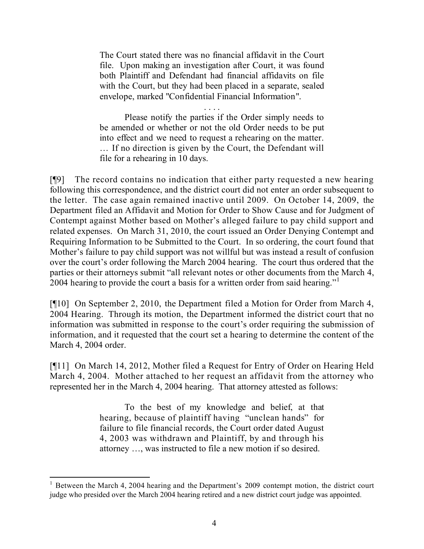The Court stated there was no financial affidavit in the Court file. Upon making an investigation after Court, it was found both Plaintiff and Defendant had financial affidavits on file with the Court, but they had been placed in a separate, sealed envelope, marked "Confidential Financial Information".

. . . .

Please notify the parties if the Order simply needs to be amended or whether or not the old Order needs to be put into effect and we need to request a rehearing on the matter. … If no direction is given by the Court, the Defendant will file for a rehearing in 10 days.

[¶9] The record contains no indication that either party requested a new hearing following this correspondence, and the district court did not enter an order subsequent to the letter. The case again remained inactive until 2009. On October 14, 2009, the Department filed an Affidavit and Motion for Order to Show Cause and for Judgment of Contempt against Mother based on Mother's alleged failure to pay child support and related expenses. On March 31, 2010, the court issued an Order Denying Contempt and Requiring Information to be Submitted to the Court. In so ordering, the court found that Mother's failure to pay child support was not willful but was instead a result of confusion over the court's order following the March 2004 hearing. The court thus ordered that the parties or their attorneys submit "all relevant notes or other documents from the March 4, 2004 hearing to provide the court a basis for a written order from said hearing."<sup>1</sup>

[¶10] On September 2, 2010, the Department filed a Motion for Order from March 4, 2004 Hearing. Through its motion, the Department informed the district court that no information was submitted in response to the court's order requiring the submission of information, and it requested that the court set a hearing to determine the content of the March 4, 2004 order.

[¶11] On March 14, 2012, Mother filed a Request for Entry of Order on Hearing Held March 4, 2004. Mother attached to her request an affidavit from the attorney who represented her in the March 4, 2004 hearing. That attorney attested as follows:

> To the best of my knowledge and belief, at that hearing, because of plaintiff having "unclean hands" for failure to file financial records, the Court order dated August 4, 2003 was withdrawn and Plaintiff, by and through his attorney …, was instructed to file a new motion if so desired.

 $\overline{a}$ 

 $1$  Between the March 4, 2004 hearing and the Department's 2009 contempt motion, the district court judge who presided over the March 2004 hearing retired and a new district court judge was appointed.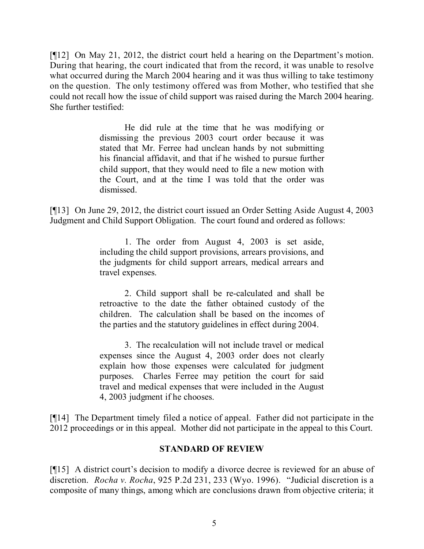[¶12] On May 21, 2012, the district court held a hearing on the Department's motion. During that hearing, the court indicated that from the record, it was unable to resolve what occurred during the March 2004 hearing and it was thus willing to take testimony on the question. The only testimony offered was from Mother, who testified that she could not recall how the issue of child support was raised during the March 2004 hearing. She further testified:

> He did rule at the time that he was modifying or dismissing the previous 2003 court order because it was stated that Mr. Ferree had unclean hands by not submitting his financial affidavit, and that if he wished to pursue further child support, that they would need to file a new motion with the Court, and at the time I was told that the order was dismissed.

[¶13] On June 29, 2012, the district court issued an Order Setting Aside August 4, 2003 Judgment and Child Support Obligation. The court found and ordered as follows:

> 1. The order from August 4, 2003 is set aside, including the child support provisions, arrears provisions, and the judgments for child support arrears, medical arrears and travel expenses.

> 2. Child support shall be re-calculated and shall be retroactive to the date the father obtained custody of the children. The calculation shall be based on the incomes of the parties and the statutory guidelines in effect during 2004.

> 3. The recalculation will not include travel or medical expenses since the August 4, 2003 order does not clearly explain how those expenses were calculated for judgment purposes. Charles Ferree may petition the court for said travel and medical expenses that were included in the August 4, 2003 judgment if he chooses.

[¶14] The Department timely filed a notice of appeal. Father did not participate in the 2012 proceedings or in this appeal. Mother did not participate in the appeal to this Court.

## **STANDARD OF REVIEW**

[¶15] A district court's decision to modify a divorce decree is reviewed for an abuse of discretion. *Rocha v. Rocha*, 925 P.2d 231, 233 (Wyo. 1996). "Judicial discretion is a composite of many things, among which are conclusions drawn from objective criteria; it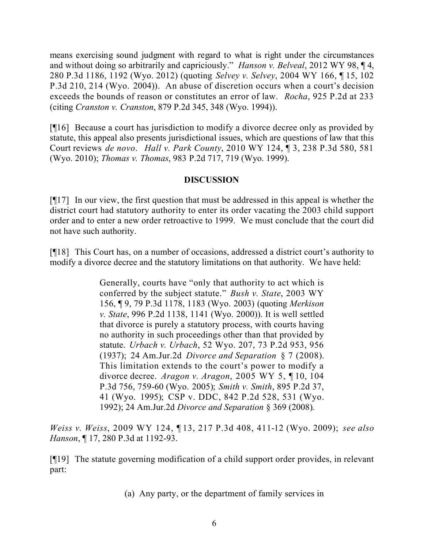means exercising sound judgment with regard to what is right under the circumstances and without doing so arbitrarily and capriciously." *Hanson v. Belveal*, 2012 WY 98, ¶ 4, 280 P.3d 1186, 1192 (Wyo. 2012) (quoting *Selvey v. Selvey*, 2004 WY 166, ¶ 15, 102 P.3d 210, 214 (Wyo. 2004)). An abuse of discretion occurs when a court's decision exceeds the bounds of reason or constitutes an error of law. *Rocha*, 925 P.2d at 233 (citing *Cranston v. Cranston*, 879 P.2d 345, 348 (Wyo. 1994)).

[¶16] Because a court has jurisdiction to modify a divorce decree only as provided by statute, this appeal also presents jurisdictional issues, which are questions of law that this Court reviews *de novo*. *Hall v. Park County*, 2010 WY 124, ¶ 3, 238 P.3d 580, 581 (Wyo. 2010); *Thomas v. Thomas*, 983 P.2d 717, 719 (Wyo. 1999).

## **DISCUSSION**

[¶17] In our view, the first question that must be addressed in this appeal is whether the district court had statutory authority to enter its order vacating the 2003 child support order and to enter a new order retroactive to 1999. We must conclude that the court did not have such authority.

[¶18] This Court has, on a number of occasions, addressed a district court's authority to modify a divorce decree and the statutory limitations on that authority. We have held:

> Generally, courts have "only that authority to act which is conferred by the subject statute." *Bush v. State*, 2003 WY 156, ¶ 9, 79 P.3d 1178, 1183 (Wyo. 2003) (quoting *Merkison v. State*, 996 P.2d 1138, 1141 (Wyo. 2000)). It is well settled that divorce is purely a statutory process, with courts having no authority in such proceedings other than that provided by statute. *Urbach v. Urbach*, 52 Wyo. 207, 73 P.2d 953, 956 (1937); 24 Am.Jur.2d *Divorce and Separation* § 7 (2008). This limitation extends to the court's power to modify a divorce decree. *Aragon v. Aragon*, 2005 WY 5, ¶ 10, 104 P.3d 756, 759-60 (Wyo. 2005); *Smith v. Smith*, 895 P.2d 37, 41 (Wyo. 1995); CSP v. DDC, 842 P.2d 528, 531 (Wyo. 1992); 24 Am.Jur.2d *Divorce and Separation* § 369 (2008).

*Weiss v. Weiss*, 2009 WY 124, ¶ 13, 217 P.3d 408, 411-12 (Wyo. 2009); *see also Hanson*, 17, 280 P.3d at 1192-93.

[¶19] The statute governing modification of a child support order provides, in relevant part:

(a) Any party, or the department of family services in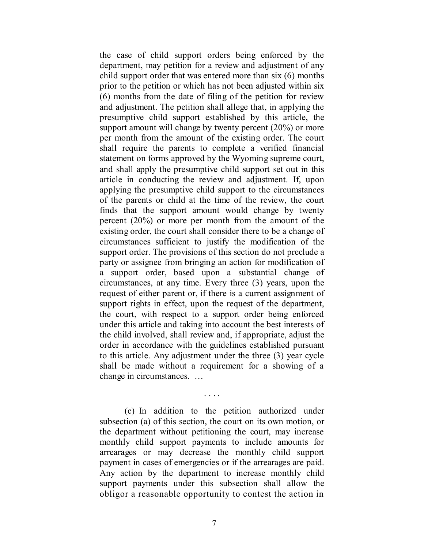the case of child support orders being enforced by the department, may petition for a review and adjustment of any child support order that was entered more than six (6) months prior to the petition or which has not been adjusted within six (6) months from the date of filing of the petition for review and adjustment. The petition shall allege that, in applying the presumptive child support established by this article, the support amount will change by twenty percent (20%) or more per month from the amount of the existing order. The court shall require the parents to complete a verified financial statement on forms approved by the Wyoming supreme court, and shall apply the presumptive child support set out in this article in conducting the review and adjustment. If, upon applying the presumptive child support to the circumstances of the parents or child at the time of the review, the court finds that the support amount would change by twenty percent (20%) or more per month from the amount of the existing order, the court shall consider there to be a change of circumstances sufficient to justify the modification of the support order. The provisions of this section do not preclude a party or assignee from bringing an action for modification of a support order, based upon a substantial change of circumstances, at any time. Every three (3) years, upon the request of either parent or, if there is a current assignment of support rights in effect, upon the request of the department, the court, with respect to a support order being enforced under this article and taking into account the best interests of the child involved, shall review and, if appropriate, adjust the order in accordance with the guidelines established pursuant to this article. Any adjustment under the three (3) year cycle shall be made without a requirement for a showing of a change in circumstances. …

(c) In addition to the petition authorized under subsection (a) of this section, the court on its own motion, or the department without petitioning the court, may increase monthly child support payments to include amounts for arrearages or may decrease the monthly child support payment in cases of emergencies or if the arrearages are paid. Any action by the department to increase monthly child support payments under this subsection shall allow the obligor a reasonable opportunity to contest the action in

. . . .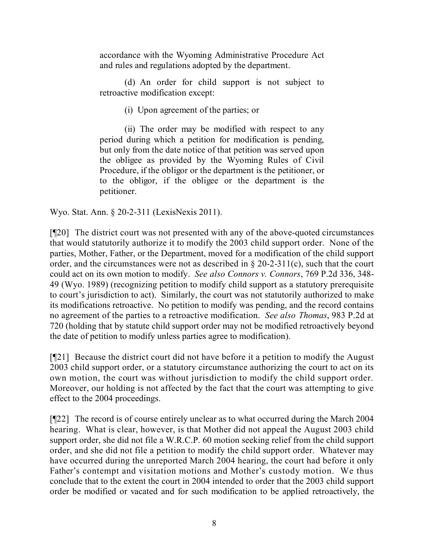accordance with the Wyoming Administrative Procedure Act and rules and regulations adopted by the department.

(d) An order for child support is not subject to retroactive modification except:

(i) Upon agreement of the parties; or

(ii) The order may be modified with respect to any period during which a petition for modification is pending, but only from the date notice of that petition was served upon the obligee as provided by the Wyoming Rules of Civil Procedure, if the obligor or the department is the petitioner, or to the obligor, if the obligee or the department is the petitioner.

Wyo. Stat. Ann. § 20-2-311 (LexisNexis 2011).

[¶20] The district court was not presented with any of the above-quoted circumstances that would statutorily authorize it to modify the 2003 child support order. None of the parties, Mother, Father, or the Department, moved for a modification of the child support order, and the circumstances were not as described in  $\S 20-2-311(c)$ , such that the court could act on its own motion to modify. *See also Connors v. Connors*, 769 P.2d 336, 348- 49 (Wyo. 1989) (recognizing petition to modify child support as a statutory prerequisite to court's jurisdiction to act). Similarly, the court was not statutorily authorized to make its modifications retroactive. No petition to modify was pending, and the record contains no agreement of the parties to a retroactive modification. *See also Thomas*, 983 P.2d at 720 (holding that by statute child support order may not be modified retroactively beyond the date of petition to modify unless parties agree to modification).

[¶21] Because the district court did not have before it a petition to modify the August 2003 child support order, or a statutory circumstance authorizing the court to act on its own motion, the court was without jurisdiction to modify the child support order. Moreover, our holding is not affected by the fact that the court was attempting to give effect to the 2004 proceedings.

[¶22] The record is of course entirely unclear as to what occurred during the March 2004 hearing. What is clear, however, is that Mother did not appeal the August 2003 child support order, she did not file a W.R.C.P. 60 motion seeking relief from the child support order, and she did not file a petition to modify the child support order. Whatever may have occurred during the unreported March 2004 hearing, the court had before it only Father's contempt and visitation motions and Mother's custody motion. We thus conclude that to the extent the court in 2004 intended to order that the 2003 child support order be modified or vacated and for such modification to be applied retroactively, the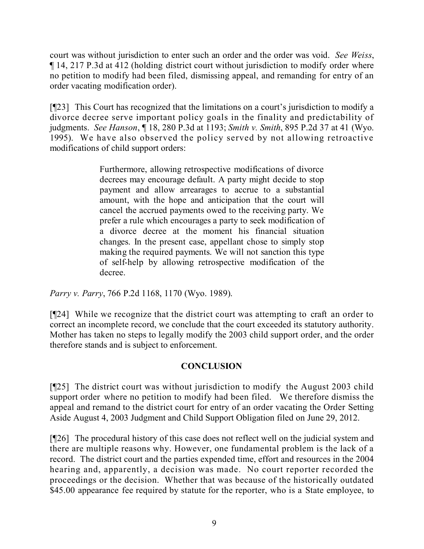court was without jurisdiction to enter such an order and the order was void. *See Weiss*, ¶ 14, 217 P.3d at 412 (holding district court without jurisdiction to modify order where no petition to modify had been filed, dismissing appeal, and remanding for entry of an order vacating modification order).

[¶23] This Court has recognized that the limitations on a court's jurisdiction to modify a divorce decree serve important policy goals in the finality and predictability of judgments. *See Hanson*, ¶ 18, 280 P.3d at 1193; *Smith v. Smith*, 895 P.2d 37 at 41 (Wyo. 1995). We have also observed the policy served by not allowing retroactive modifications of child support orders:

> Furthermore, allowing retrospective modifications of divorce decrees may encourage default. A party might decide to stop payment and allow arrearages to accrue to a substantial amount, with the hope and anticipation that the court will cancel the accrued payments owed to the receiving party. We prefer a rule which encourages a party to seek modification of a divorce decree at the moment his financial situation changes. In the present case, appellant chose to simply stop making the required payments. We will not sanction this type of self-help by allowing retrospective modification of the decree.

*Parry v. Parry*, 766 P.2d 1168, 1170 (Wyo. 1989).

[¶24] While we recognize that the district court was attempting to craft an order to correct an incomplete record, we conclude that the court exceeded its statutory authority. Mother has taken no steps to legally modify the 2003 child support order, and the order therefore stands and is subject to enforcement.

## **CONCLUSION**

[¶25] The district court was without jurisdiction to modify the August 2003 child support order where no petition to modify had been filed. We therefore dismiss the appeal and remand to the district court for entry of an order vacating the Order Setting Aside August 4, 2003 Judgment and Child Support Obligation filed on June 29, 2012.

[¶26] The procedural history of this case does not reflect well on the judicial system and there are multiple reasons why. However, one fundamental problem is the lack of a record. The district court and the parties expended time, effort and resources in the 2004 hearing and, apparently, a decision was made. No court reporter recorded the proceedings or the decision. Whether that was because of the historically outdated \$45.00 appearance fee required by statute for the reporter, who is a State employee, to